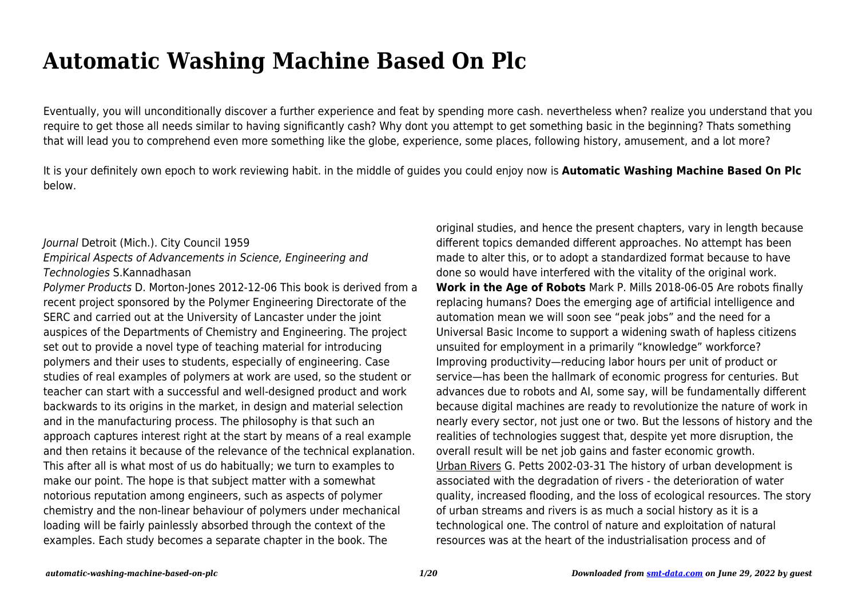# **Automatic Washing Machine Based On Plc**

Eventually, you will unconditionally discover a further experience and feat by spending more cash. nevertheless when? realize you understand that you require to get those all needs similar to having significantly cash? Why dont you attempt to get something basic in the beginning? Thats something that will lead you to comprehend even more something like the globe, experience, some places, following history, amusement, and a lot more?

It is your definitely own epoch to work reviewing habit. in the middle of guides you could enjoy now is **Automatic Washing Machine Based On Plc** below.

### Journal Detroit (Mich.). City Council 1959

# Empirical Aspects of Advancements in Science, Engineering and Technologies S.Kannadhasan

Polymer Products D. Morton-Jones 2012-12-06 This book is derived from a recent project sponsored by the Polymer Engineering Directorate of the SERC and carried out at the University of Lancaster under the joint auspices of the Departments of Chemistry and Engineering. The project set out to provide a novel type of teaching material for introducing polymers and their uses to students, especially of engineering. Case studies of real examples of polymers at work are used, so the student or teacher can start with a successful and well-designed product and work backwards to its origins in the market, in design and material selection and in the manufacturing process. The philosophy is that such an approach captures interest right at the start by means of a real example and then retains it because of the relevance of the technical explanation. This after all is what most of us do habitually; we turn to examples to make our point. The hope is that subject matter with a somewhat notorious reputation among engineers, such as aspects of polymer chemistry and the non-linear behaviour of polymers under mechanical loading will be fairly painlessly absorbed through the context of the examples. Each study becomes a separate chapter in the book. The

original studies, and hence the present chapters, vary in length because different topics demanded different approaches. No attempt has been made to alter this, or to adopt a standardized format because to have done so would have interfered with the vitality of the original work. **Work in the Age of Robots** Mark P. Mills 2018-06-05 Are robots finally replacing humans? Does the emerging age of artificial intelligence and automation mean we will soon see "peak jobs" and the need for a Universal Basic Income to support a widening swath of hapless citizens unsuited for employment in a primarily "knowledge" workforce? Improving productivity—reducing labor hours per unit of product or service—has been the hallmark of economic progress for centuries. But advances due to robots and AI, some say, will be fundamentally different because digital machines are ready to revolutionize the nature of work in nearly every sector, not just one or two. But the lessons of history and the realities of technologies suggest that, despite yet more disruption, the overall result will be net job gains and faster economic growth. Urban Rivers G. Petts 2002-03-31 The history of urban development is associated with the degradation of rivers - the deterioration of water quality, increased flooding, and the loss of ecological resources. The story of urban streams and rivers is as much a social history as it is a technological one. The control of nature and exploitation of natural resources was at the heart of the industrialisation process and of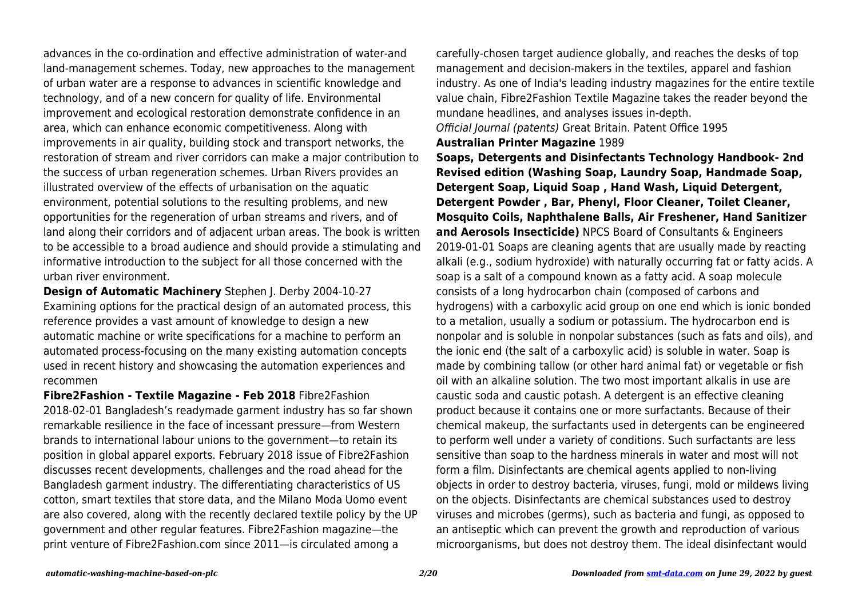advances in the co-ordination and effective administration of water-and land-management schemes. Today, new approaches to the management of urban water are a response to advances in scientific knowledge and technology, and of a new concern for quality of life. Environmental improvement and ecological restoration demonstrate confidence in an area, which can enhance economic competitiveness. Along with improvements in air quality, building stock and transport networks, the restoration of stream and river corridors can make a major contribution to the success of urban regeneration schemes. Urban Rivers provides an illustrated overview of the effects of urbanisation on the aquatic environment, potential solutions to the resulting problems, and new opportunities for the regeneration of urban streams and rivers, and of land along their corridors and of adjacent urban areas. The book is written to be accessible to a broad audience and should provide a stimulating and informative introduction to the subject for all those concerned with the urban river environment.

**Design of Automatic Machinery** Stephen J. Derby 2004-10-27 Examining options for the practical design of an automated process, this reference provides a vast amount of knowledge to design a new automatic machine or write specifications for a machine to perform an automated process-focusing on the many existing automation concepts used in recent history and showcasing the automation experiences and recommen

**Fibre2Fashion - Textile Magazine - Feb 2018** Fibre2Fashion 2018-02-01 Bangladesh's readymade garment industry has so far shown remarkable resilience in the face of incessant pressure—from Western brands to international labour unions to the government—to retain its position in global apparel exports. February 2018 issue of Fibre2Fashion discusses recent developments, challenges and the road ahead for the Bangladesh garment industry. The differentiating characteristics of US cotton, smart textiles that store data, and the Milano Moda Uomo event are also covered, along with the recently declared textile policy by the UP government and other regular features. Fibre2Fashion magazine—the print venture of Fibre2Fashion.com since 2011—is circulated among a

carefully-chosen target audience globally, and reaches the desks of top management and decision-makers in the textiles, apparel and fashion industry. As one of India's leading industry magazines for the entire textile value chain, Fibre2Fashion Textile Magazine takes the reader beyond the mundane headlines, and analyses issues in-depth. Official Journal (patents) Great Britain. Patent Office 1995

#### **Australian Printer Magazine** 1989

**Soaps, Detergents and Disinfectants Technology Handbook- 2nd Revised edition (Washing Soap, Laundry Soap, Handmade Soap, Detergent Soap, Liquid Soap , Hand Wash, Liquid Detergent, Detergent Powder , Bar, Phenyl, Floor Cleaner, Toilet Cleaner, Mosquito Coils, Naphthalene Balls, Air Freshener, Hand Sanitizer and Aerosols Insecticide)** NPCS Board of Consultants & Engineers 2019-01-01 Soaps are cleaning agents that are usually made by reacting alkali (e.g., sodium hydroxide) with naturally occurring fat or fatty acids. A soap is a salt of a compound known as a fatty acid. A soap molecule consists of a long hydrocarbon chain (composed of carbons and hydrogens) with a carboxylic acid group on one end which is ionic bonded to a metalion, usually a sodium or potassium. The hydrocarbon end is nonpolar and is soluble in nonpolar substances (such as fats and oils), and the ionic end (the salt of a carboxylic acid) is soluble in water. Soap is made by combining tallow (or other hard animal fat) or vegetable or fish oil with an alkaline solution. The two most important alkalis in use are caustic soda and caustic potash. A detergent is an effective cleaning product because it contains one or more surfactants. Because of their chemical makeup, the surfactants used in detergents can be engineered to perform well under a variety of conditions. Such surfactants are less sensitive than soap to the hardness minerals in water and most will not form a film. Disinfectants are chemical agents applied to non-living objects in order to destroy bacteria, viruses, fungi, mold or mildews living on the objects. Disinfectants are chemical substances used to destroy viruses and microbes (germs), such as bacteria and fungi, as opposed to an antiseptic which can prevent the growth and reproduction of various microorganisms, but does not destroy them. The ideal disinfectant would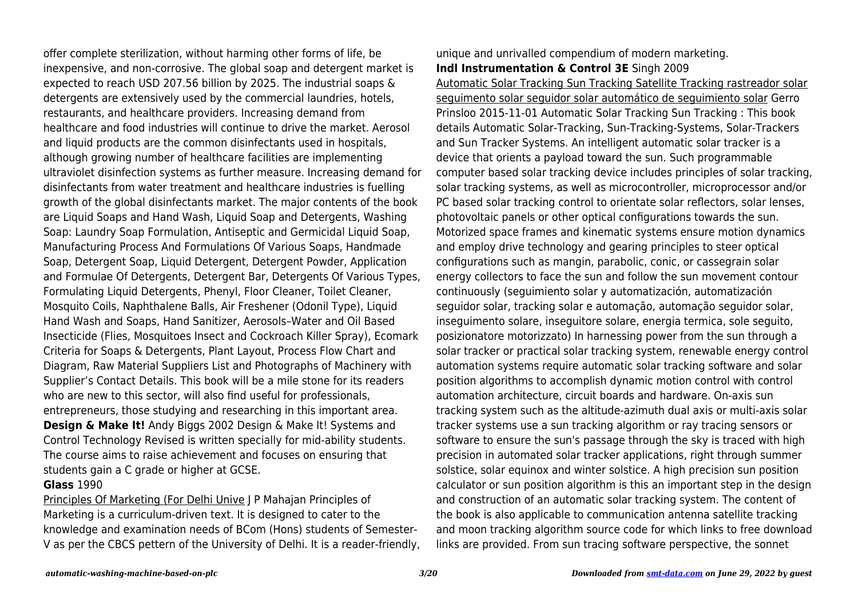offer complete sterilization, without harming other forms of life, be inexpensive, and non-corrosive. The global soap and detergent market is expected to reach USD 207.56 billion by 2025. The industrial soaps & detergents are extensively used by the commercial laundries, hotels, restaurants, and healthcare providers. Increasing demand from healthcare and food industries will continue to drive the market. Aerosol and liquid products are the common disinfectants used in hospitals, although growing number of healthcare facilities are implementing ultraviolet disinfection systems as further measure. Increasing demand for disinfectants from water treatment and healthcare industries is fuelling growth of the global disinfectants market. The major contents of the book are Liquid Soaps and Hand Wash, Liquid Soap and Detergents, Washing Soap: Laundry Soap Formulation, Antiseptic and Germicidal Liquid Soap, Manufacturing Process And Formulations Of Various Soaps, Handmade Soap, Detergent Soap, Liquid Detergent, Detergent Powder, Application and Formulae Of Detergents, Detergent Bar, Detergents Of Various Types, Formulating Liquid Detergents, Phenyl, Floor Cleaner, Toilet Cleaner, Mosquito Coils, Naphthalene Balls, Air Freshener (Odonil Type), Liquid Hand Wash and Soaps, Hand Sanitizer, Aerosols–Water and Oil Based Insecticide (Flies, Mosquitoes Insect and Cockroach Killer Spray), Ecomark Criteria for Soaps & Detergents, Plant Layout, Process Flow Chart and Diagram, Raw Material Suppliers List and Photographs of Machinery with Supplier's Contact Details. This book will be a mile stone for its readers who are new to this sector, will also find useful for professionals, entrepreneurs, those studying and researching in this important area. **Design & Make It!** Andy Biggs 2002 Design & Make It! Systems and Control Technology Revised is written specially for mid-ability students. The course aims to raise achievement and focuses on ensuring that students gain a C grade or higher at GCSE.

## **Glass** 1990

Principles Of Marketing (For Delhi Unive J P Mahajan Principles of Marketing is a curriculum-driven text. It is designed to cater to the knowledge and examination needs of BCom (Hons) students of Semester-V as per the CBCS pettern of the University of Delhi. It is a reader-friendly, unique and unrivalled compendium of modern marketing. **Indl Instrumentation & Control 3E** Singh 2009

Automatic Solar Tracking Sun Tracking Satellite Tracking rastreador solar seguimento solar seguidor solar automático de seguimiento solar Gerro Prinsloo 2015-11-01 Automatic Solar Tracking Sun Tracking : This book details Automatic Solar-Tracking, Sun-Tracking-Systems, Solar-Trackers and Sun Tracker Systems. An intelligent automatic solar tracker is a device that orients a payload toward the sun. Such programmable computer based solar tracking device includes principles of solar tracking, solar tracking systems, as well as microcontroller, microprocessor and/or PC based solar tracking control to orientate solar reflectors, solar lenses, photovoltaic panels or other optical configurations towards the sun. Motorized space frames and kinematic systems ensure motion dynamics and employ drive technology and gearing principles to steer optical configurations such as mangin, parabolic, conic, or cassegrain solar energy collectors to face the sun and follow the sun movement contour continuously (seguimiento solar y automatización, automatización seguidor solar, tracking solar e automação, automação seguidor solar, inseguimento solare, inseguitore solare, energia termica, sole seguito, posizionatore motorizzato) In harnessing power from the sun through a solar tracker or practical solar tracking system, renewable energy control automation systems require automatic solar tracking software and solar position algorithms to accomplish dynamic motion control with control automation architecture, circuit boards and hardware. On-axis sun tracking system such as the altitude-azimuth dual axis or multi-axis solar tracker systems use a sun tracking algorithm or ray tracing sensors or software to ensure the sun's passage through the sky is traced with high precision in automated solar tracker applications, right through summer solstice, solar equinox and winter solstice. A high precision sun position calculator or sun position algorithm is this an important step in the design and construction of an automatic solar tracking system. The content of the book is also applicable to communication antenna satellite tracking and moon tracking algorithm source code for which links to free download links are provided. From sun tracing software perspective, the sonnet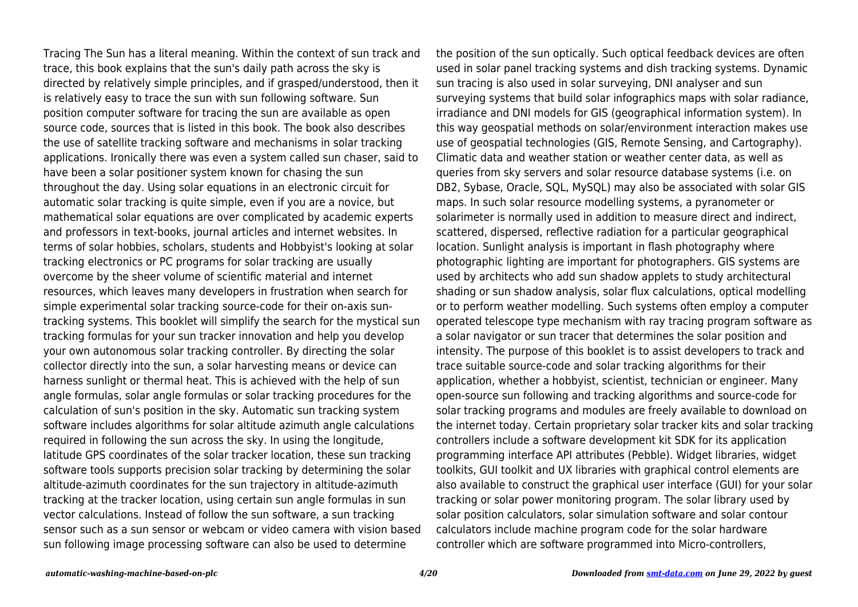Tracing The Sun has a literal meaning. Within the context of sun track and trace, this book explains that the sun's daily path across the sky is directed by relatively simple principles, and if grasped/understood, then it is relatively easy to trace the sun with sun following software. Sun position computer software for tracing the sun are available as open source code, sources that is listed in this book. The book also describes the use of satellite tracking software and mechanisms in solar tracking applications. Ironically there was even a system called sun chaser, said to have been a solar positioner system known for chasing the sun throughout the day. Using solar equations in an electronic circuit for automatic solar tracking is quite simple, even if you are a novice, but mathematical solar equations are over complicated by academic experts and professors in text-books, journal articles and internet websites. In terms of solar hobbies, scholars, students and Hobbyist's looking at solar tracking electronics or PC programs for solar tracking are usually overcome by the sheer volume of scientific material and internet resources, which leaves many developers in frustration when search for simple experimental solar tracking source-code for their on-axis suntracking systems. This booklet will simplify the search for the mystical sun tracking formulas for your sun tracker innovation and help you develop your own autonomous solar tracking controller. By directing the solar collector directly into the sun, a solar harvesting means or device can harness sunlight or thermal heat. This is achieved with the help of sun angle formulas, solar angle formulas or solar tracking procedures for the calculation of sun's position in the sky. Automatic sun tracking system software includes algorithms for solar altitude azimuth angle calculations required in following the sun across the sky. In using the longitude, latitude GPS coordinates of the solar tracker location, these sun tracking software tools supports precision solar tracking by determining the solar altitude-azimuth coordinates for the sun trajectory in altitude-azimuth tracking at the tracker location, using certain sun angle formulas in sun vector calculations. Instead of follow the sun software, a sun tracking sensor such as a sun sensor or webcam or video camera with vision based sun following image processing software can also be used to determine

the position of the sun optically. Such optical feedback devices are often used in solar panel tracking systems and dish tracking systems. Dynamic sun tracing is also used in solar surveying, DNI analyser and sun surveying systems that build solar infographics maps with solar radiance, irradiance and DNI models for GIS (geographical information system). In this way geospatial methods on solar/environment interaction makes use use of geospatial technologies (GIS, Remote Sensing, and Cartography). Climatic data and weather station or weather center data, as well as queries from sky servers and solar resource database systems (i.e. on DB2, Sybase, Oracle, SQL, MySQL) may also be associated with solar GIS maps. In such solar resource modelling systems, a pyranometer or solarimeter is normally used in addition to measure direct and indirect, scattered, dispersed, reflective radiation for a particular geographical location. Sunlight analysis is important in flash photography where photographic lighting are important for photographers. GIS systems are used by architects who add sun shadow applets to study architectural shading or sun shadow analysis, solar flux calculations, optical modelling or to perform weather modelling. Such systems often employ a computer operated telescope type mechanism with ray tracing program software as a solar navigator or sun tracer that determines the solar position and intensity. The purpose of this booklet is to assist developers to track and trace suitable source-code and solar tracking algorithms for their application, whether a hobbyist, scientist, technician or engineer. Many open-source sun following and tracking algorithms and source-code for solar tracking programs and modules are freely available to download on the internet today. Certain proprietary solar tracker kits and solar tracking controllers include a software development kit SDK for its application programming interface API attributes (Pebble). Widget libraries, widget toolkits, GUI toolkit and UX libraries with graphical control elements are also available to construct the graphical user interface (GUI) for your solar tracking or solar power monitoring program. The solar library used by solar position calculators, solar simulation software and solar contour calculators include machine program code for the solar hardware controller which are software programmed into Micro-controllers,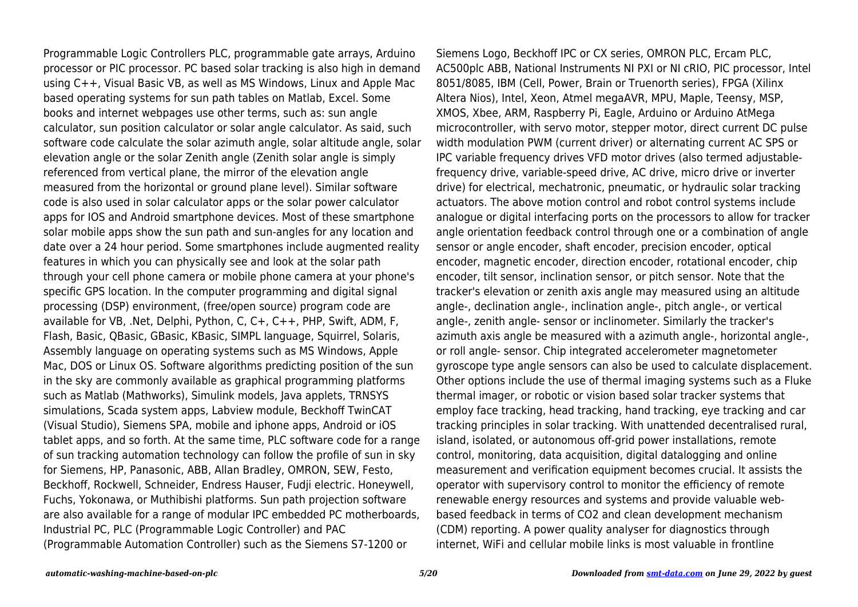Programmable Logic Controllers PLC, programmable gate arrays, Arduino processor or PIC processor. PC based solar tracking is also high in demand using C++, Visual Basic VB, as well as MS Windows, Linux and Apple Mac based operating systems for sun path tables on Matlab, Excel. Some books and internet webpages use other terms, such as: sun angle calculator, sun position calculator or solar angle calculator. As said, such software code calculate the solar azimuth angle, solar altitude angle, solar elevation angle or the solar Zenith angle (Zenith solar angle is simply referenced from vertical plane, the mirror of the elevation angle measured from the horizontal or ground plane level). Similar software code is also used in solar calculator apps or the solar power calculator apps for IOS and Android smartphone devices. Most of these smartphone solar mobile apps show the sun path and sun-angles for any location and date over a 24 hour period. Some smartphones include augmented reality features in which you can physically see and look at the solar path through your cell phone camera or mobile phone camera at your phone's specific GPS location. In the computer programming and digital signal processing (DSP) environment, (free/open source) program code are available for VB, .Net, Delphi, Python, C, C+, C++, PHP, Swift, ADM, F, Flash, Basic, QBasic, GBasic, KBasic, SIMPL language, Squirrel, Solaris, Assembly language on operating systems such as MS Windows, Apple Mac, DOS or Linux OS. Software algorithms predicting position of the sun in the sky are commonly available as graphical programming platforms such as Matlab (Mathworks), Simulink models, Java applets, TRNSYS simulations, Scada system apps, Labview module, Beckhoff TwinCAT (Visual Studio), Siemens SPA, mobile and iphone apps, Android or iOS tablet apps, and so forth. At the same time, PLC software code for a range of sun tracking automation technology can follow the profile of sun in sky for Siemens, HP, Panasonic, ABB, Allan Bradley, OMRON, SEW, Festo, Beckhoff, Rockwell, Schneider, Endress Hauser, Fudji electric. Honeywell, Fuchs, Yokonawa, or Muthibishi platforms. Sun path projection software are also available for a range of modular IPC embedded PC motherboards, Industrial PC, PLC (Programmable Logic Controller) and PAC (Programmable Automation Controller) such as the Siemens S7-1200 or

Siemens Logo, Beckhoff IPC or CX series, OMRON PLC, Ercam PLC, AC500plc ABB, National Instruments NI PXI or NI cRIO, PIC processor, Intel 8051/8085, IBM (Cell, Power, Brain or Truenorth series), FPGA (Xilinx Altera Nios), Intel, Xeon, Atmel megaAVR, MPU, Maple, Teensy, MSP, XMOS, Xbee, ARM, Raspberry Pi, Eagle, Arduino or Arduino AtMega microcontroller, with servo motor, stepper motor, direct current DC pulse width modulation PWM (current driver) or alternating current AC SPS or IPC variable frequency drives VFD motor drives (also termed adjustablefrequency drive, variable-speed drive, AC drive, micro drive or inverter drive) for electrical, mechatronic, pneumatic, or hydraulic solar tracking actuators. The above motion control and robot control systems include analogue or digital interfacing ports on the processors to allow for tracker angle orientation feedback control through one or a combination of angle sensor or angle encoder, shaft encoder, precision encoder, optical encoder, magnetic encoder, direction encoder, rotational encoder, chip encoder, tilt sensor, inclination sensor, or pitch sensor. Note that the tracker's elevation or zenith axis angle may measured using an altitude angle-, declination angle-, inclination angle-, pitch angle-, or vertical angle-, zenith angle- sensor or inclinometer. Similarly the tracker's azimuth axis angle be measured with a azimuth angle-, horizontal angle-, or roll angle- sensor. Chip integrated accelerometer magnetometer gyroscope type angle sensors can also be used to calculate displacement. Other options include the use of thermal imaging systems such as a Fluke thermal imager, or robotic or vision based solar tracker systems that employ face tracking, head tracking, hand tracking, eye tracking and car tracking principles in solar tracking. With unattended decentralised rural, island, isolated, or autonomous off-grid power installations, remote control, monitoring, data acquisition, digital datalogging and online measurement and verification equipment becomes crucial. It assists the operator with supervisory control to monitor the efficiency of remote renewable energy resources and systems and provide valuable webbased feedback in terms of CO2 and clean development mechanism (CDM) reporting. A power quality analyser for diagnostics through internet, WiFi and cellular mobile links is most valuable in frontline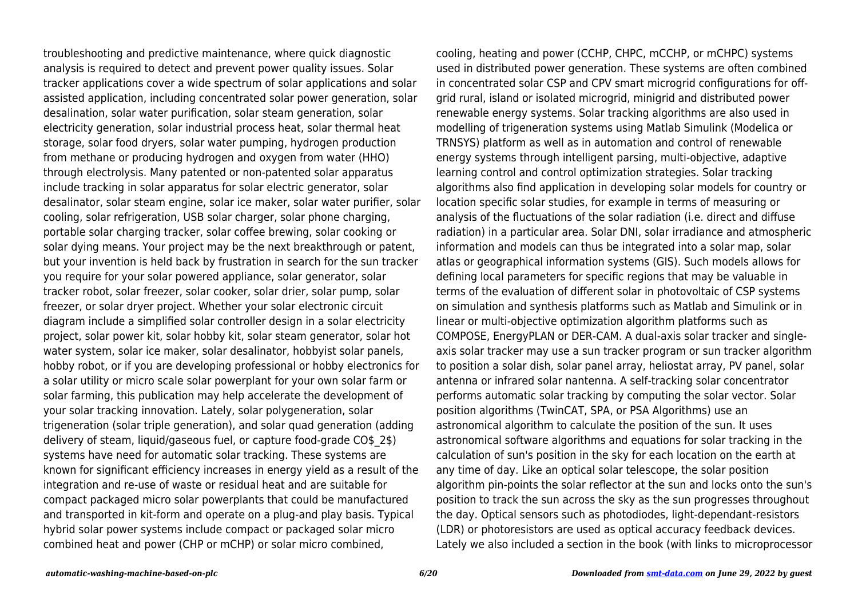troubleshooting and predictive maintenance, where quick diagnostic analysis is required to detect and prevent power quality issues. Solar tracker applications cover a wide spectrum of solar applications and solar assisted application, including concentrated solar power generation, solar desalination, solar water purification, solar steam generation, solar electricity generation, solar industrial process heat, solar thermal heat storage, solar food dryers, solar water pumping, hydrogen production from methane or producing hydrogen and oxygen from water (HHO) through electrolysis. Many patented or non-patented solar apparatus include tracking in solar apparatus for solar electric generator, solar desalinator, solar steam engine, solar ice maker, solar water purifier, solar cooling, solar refrigeration, USB solar charger, solar phone charging, portable solar charging tracker, solar coffee brewing, solar cooking or solar dying means. Your project may be the next breakthrough or patent, but your invention is held back by frustration in search for the sun tracker you require for your solar powered appliance, solar generator, solar tracker robot, solar freezer, solar cooker, solar drier, solar pump, solar freezer, or solar dryer project. Whether your solar electronic circuit diagram include a simplified solar controller design in a solar electricity project, solar power kit, solar hobby kit, solar steam generator, solar hot water system, solar ice maker, solar desalinator, hobbyist solar panels, hobby robot, or if you are developing professional or hobby electronics for a solar utility or micro scale solar powerplant for your own solar farm or solar farming, this publication may help accelerate the development of your solar tracking innovation. Lately, solar polygeneration, solar trigeneration (solar triple generation), and solar quad generation (adding delivery of steam, liquid/gaseous fuel, or capture food-grade CO\$\_2\$) systems have need for automatic solar tracking. These systems are known for significant efficiency increases in energy yield as a result of the integration and re-use of waste or residual heat and are suitable for compact packaged micro solar powerplants that could be manufactured and transported in kit-form and operate on a plug-and play basis. Typical hybrid solar power systems include compact or packaged solar micro combined heat and power (CHP or mCHP) or solar micro combined,

cooling, heating and power (CCHP, CHPC, mCCHP, or mCHPC) systems used in distributed power generation. These systems are often combined in concentrated solar CSP and CPV smart microgrid configurations for offgrid rural, island or isolated microgrid, minigrid and distributed power renewable energy systems. Solar tracking algorithms are also used in modelling of trigeneration systems using Matlab Simulink (Modelica or TRNSYS) platform as well as in automation and control of renewable energy systems through intelligent parsing, multi-objective, adaptive learning control and control optimization strategies. Solar tracking algorithms also find application in developing solar models for country or location specific solar studies, for example in terms of measuring or analysis of the fluctuations of the solar radiation (i.e. direct and diffuse radiation) in a particular area. Solar DNI, solar irradiance and atmospheric information and models can thus be integrated into a solar map, solar atlas or geographical information systems (GIS). Such models allows for defining local parameters for specific regions that may be valuable in terms of the evaluation of different solar in photovoltaic of CSP systems on simulation and synthesis platforms such as Matlab and Simulink or in linear or multi-objective optimization algorithm platforms such as COMPOSE, EnergyPLAN or DER-CAM. A dual-axis solar tracker and singleaxis solar tracker may use a sun tracker program or sun tracker algorithm to position a solar dish, solar panel array, heliostat array, PV panel, solar antenna or infrared solar nantenna. A self-tracking solar concentrator performs automatic solar tracking by computing the solar vector. Solar position algorithms (TwinCAT, SPA, or PSA Algorithms) use an astronomical algorithm to calculate the position of the sun. It uses astronomical software algorithms and equations for solar tracking in the calculation of sun's position in the sky for each location on the earth at any time of day. Like an optical solar telescope, the solar position algorithm pin-points the solar reflector at the sun and locks onto the sun's position to track the sun across the sky as the sun progresses throughout the day. Optical sensors such as photodiodes, light-dependant-resistors (LDR) or photoresistors are used as optical accuracy feedback devices. Lately we also included a section in the book (with links to microprocessor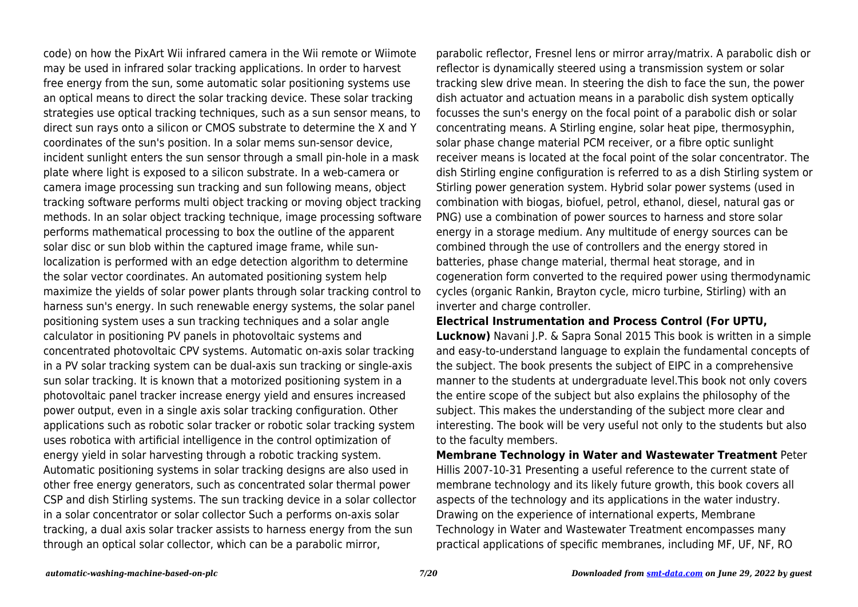code) on how the PixArt Wii infrared camera in the Wii remote or Wiimote may be used in infrared solar tracking applications. In order to harvest free energy from the sun, some automatic solar positioning systems use an optical means to direct the solar tracking device. These solar tracking strategies use optical tracking techniques, such as a sun sensor means, to direct sun rays onto a silicon or CMOS substrate to determine the X and Y coordinates of the sun's position. In a solar mems sun-sensor device, incident sunlight enters the sun sensor through a small pin-hole in a mask plate where light is exposed to a silicon substrate. In a web-camera or camera image processing sun tracking and sun following means, object tracking software performs multi object tracking or moving object tracking methods. In an solar object tracking technique, image processing software performs mathematical processing to box the outline of the apparent solar disc or sun blob within the captured image frame, while sunlocalization is performed with an edge detection algorithm to determine the solar vector coordinates. An automated positioning system help maximize the yields of solar power plants through solar tracking control to harness sun's energy. In such renewable energy systems, the solar panel positioning system uses a sun tracking techniques and a solar angle calculator in positioning PV panels in photovoltaic systems and concentrated photovoltaic CPV systems. Automatic on-axis solar tracking in a PV solar tracking system can be dual-axis sun tracking or single-axis sun solar tracking. It is known that a motorized positioning system in a photovoltaic panel tracker increase energy yield and ensures increased power output, even in a single axis solar tracking configuration. Other applications such as robotic solar tracker or robotic solar tracking system uses robotica with artificial intelligence in the control optimization of energy yield in solar harvesting through a robotic tracking system. Automatic positioning systems in solar tracking designs are also used in other free energy generators, such as concentrated solar thermal power CSP and dish Stirling systems. The sun tracking device in a solar collector in a solar concentrator or solar collector Such a performs on-axis solar tracking, a dual axis solar tracker assists to harness energy from the sun through an optical solar collector, which can be a parabolic mirror,

parabolic reflector, Fresnel lens or mirror array/matrix. A parabolic dish or reflector is dynamically steered using a transmission system or solar tracking slew drive mean. In steering the dish to face the sun, the power dish actuator and actuation means in a parabolic dish system optically focusses the sun's energy on the focal point of a parabolic dish or solar concentrating means. A Stirling engine, solar heat pipe, thermosyphin, solar phase change material PCM receiver, or a fibre optic sunlight receiver means is located at the focal point of the solar concentrator. The dish Stirling engine configuration is referred to as a dish Stirling system or Stirling power generation system. Hybrid solar power systems (used in combination with biogas, biofuel, petrol, ethanol, diesel, natural gas or PNG) use a combination of power sources to harness and store solar energy in a storage medium. Any multitude of energy sources can be combined through the use of controllers and the energy stored in batteries, phase change material, thermal heat storage, and in cogeneration form converted to the required power using thermodynamic cycles (organic Rankin, Brayton cycle, micro turbine, Stirling) with an inverter and charge controller.

## **Electrical Instrumentation and Process Control (For UPTU,**

**Lucknow)** Navani J.P. & Sapra Sonal 2015 This book is written in a simple and easy-to-understand language to explain the fundamental concepts of the subject. The book presents the subject of EIPC in a comprehensive manner to the students at undergraduate level.This book not only covers the entire scope of the subject but also explains the philosophy of the subject. This makes the understanding of the subject more clear and interesting. The book will be very useful not only to the students but also to the faculty members.

**Membrane Technology in Water and Wastewater Treatment** Peter Hillis 2007-10-31 Presenting a useful reference to the current state of membrane technology and its likely future growth, this book covers all aspects of the technology and its applications in the water industry. Drawing on the experience of international experts, Membrane Technology in Water and Wastewater Treatment encompasses many practical applications of specific membranes, including MF, UF, NF, RO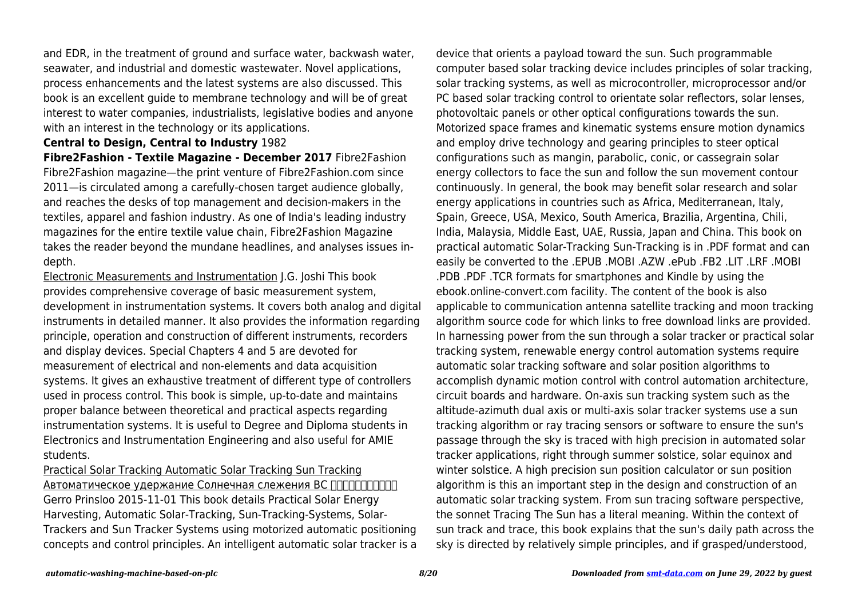and EDR, in the treatment of ground and surface water, backwash water, seawater, and industrial and domestic wastewater. Novel applications, process enhancements and the latest systems are also discussed. This book is an excellent guide to membrane technology and will be of great interest to water companies, industrialists, legislative bodies and anyone with an interest in the technology or its applications.

#### **Central to Design, Central to Industry** 1982

**Fibre2Fashion - Textile Magazine - December 2017** Fibre2Fashion Fibre2Fashion magazine—the print venture of Fibre2Fashion.com since 2011—is circulated among a carefully-chosen target audience globally, and reaches the desks of top management and decision-makers in the textiles, apparel and fashion industry. As one of India's leading industry magazines for the entire textile value chain, Fibre2Fashion Magazine takes the reader beyond the mundane headlines, and analyses issues indepth.

Electronic Measurements and Instrumentation J.G. Joshi This book provides comprehensive coverage of basic measurement system, development in instrumentation systems. It covers both analog and digital instruments in detailed manner. It also provides the information regarding principle, operation and construction of different instruments, recorders and display devices. Special Chapters 4 and 5 are devoted for measurement of electrical and non-elements and data acquisition systems. It gives an exhaustive treatment of different type of controllers used in process control. This book is simple, up-to-date and maintains proper balance between theoretical and practical aspects regarding instrumentation systems. It is useful to Degree and Diploma students in Electronics and Instrumentation Engineering and also useful for AMIE students.

Practical Solar Tracking Automatic Solar Tracking Sun Tracking Автоматическое удержание Солнечная слежения ВС ПППППППППП Gerro Prinsloo 2015-11-01 This book details Practical Solar Energy Harvesting, Automatic Solar-Tracking, Sun-Tracking-Systems, Solar-Trackers and Sun Tracker Systems using motorized automatic positioning concepts and control principles. An intelligent automatic solar tracker is a device that orients a payload toward the sun. Such programmable computer based solar tracking device includes principles of solar tracking, solar tracking systems, as well as microcontroller, microprocessor and/or PC based solar tracking control to orientate solar reflectors, solar lenses, photovoltaic panels or other optical configurations towards the sun. Motorized space frames and kinematic systems ensure motion dynamics and employ drive technology and gearing principles to steer optical configurations such as mangin, parabolic, conic, or cassegrain solar energy collectors to face the sun and follow the sun movement contour continuously. In general, the book may benefit solar research and solar energy applications in countries such as Africa, Mediterranean, Italy, Spain, Greece, USA, Mexico, South America, Brazilia, Argentina, Chili, India, Malaysia, Middle East, UAE, Russia, Japan and China. This book on practical automatic Solar-Tracking Sun-Tracking is in .PDF format and can easily be converted to the .EPUB .MOBI .AZW .ePub .FB2 .LIT .LRF .MOBI .PDB .PDF .TCR formats for smartphones and Kindle by using the ebook.online-convert.com facility. The content of the book is also applicable to communication antenna satellite tracking and moon tracking algorithm source code for which links to free download links are provided. In harnessing power from the sun through a solar tracker or practical solar tracking system, renewable energy control automation systems require automatic solar tracking software and solar position algorithms to accomplish dynamic motion control with control automation architecture, circuit boards and hardware. On-axis sun tracking system such as the altitude-azimuth dual axis or multi-axis solar tracker systems use a sun tracking algorithm or ray tracing sensors or software to ensure the sun's passage through the sky is traced with high precision in automated solar tracker applications, right through summer solstice, solar equinox and winter solstice. A high precision sun position calculator or sun position algorithm is this an important step in the design and construction of an automatic solar tracking system. From sun tracing software perspective, the sonnet Tracing The Sun has a literal meaning. Within the context of sun track and trace, this book explains that the sun's daily path across the sky is directed by relatively simple principles, and if grasped/understood,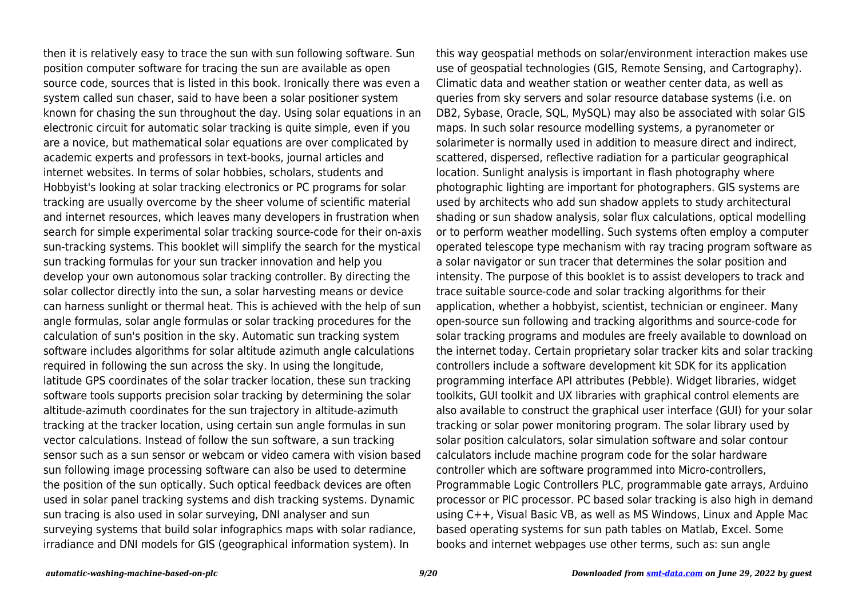then it is relatively easy to trace the sun with sun following software. Sun position computer software for tracing the sun are available as open source code, sources that is listed in this book. Ironically there was even a system called sun chaser, said to have been a solar positioner system known for chasing the sun throughout the day. Using solar equations in an electronic circuit for automatic solar tracking is quite simple, even if you are a novice, but mathematical solar equations are over complicated by academic experts and professors in text-books, journal articles and internet websites. In terms of solar hobbies, scholars, students and Hobbyist's looking at solar tracking electronics or PC programs for solar tracking are usually overcome by the sheer volume of scientific material and internet resources, which leaves many developers in frustration when search for simple experimental solar tracking source-code for their on-axis sun-tracking systems. This booklet will simplify the search for the mystical sun tracking formulas for your sun tracker innovation and help you develop your own autonomous solar tracking controller. By directing the solar collector directly into the sun, a solar harvesting means or device can harness sunlight or thermal heat. This is achieved with the help of sun angle formulas, solar angle formulas or solar tracking procedures for the calculation of sun's position in the sky. Automatic sun tracking system software includes algorithms for solar altitude azimuth angle calculations required in following the sun across the sky. In using the longitude, latitude GPS coordinates of the solar tracker location, these sun tracking software tools supports precision solar tracking by determining the solar altitude-azimuth coordinates for the sun trajectory in altitude-azimuth tracking at the tracker location, using certain sun angle formulas in sun vector calculations. Instead of follow the sun software, a sun tracking sensor such as a sun sensor or webcam or video camera with vision based sun following image processing software can also be used to determine the position of the sun optically. Such optical feedback devices are often used in solar panel tracking systems and dish tracking systems. Dynamic sun tracing is also used in solar surveying, DNI analyser and sun surveying systems that build solar infographics maps with solar radiance, irradiance and DNI models for GIS (geographical information system). In

this way geospatial methods on solar/environment interaction makes use use of geospatial technologies (GIS, Remote Sensing, and Cartography). Climatic data and weather station or weather center data, as well as queries from sky servers and solar resource database systems (i.e. on DB2, Sybase, Oracle, SQL, MySQL) may also be associated with solar GIS maps. In such solar resource modelling systems, a pyranometer or solarimeter is normally used in addition to measure direct and indirect, scattered, dispersed, reflective radiation for a particular geographical location. Sunlight analysis is important in flash photography where photographic lighting are important for photographers. GIS systems are used by architects who add sun shadow applets to study architectural shading or sun shadow analysis, solar flux calculations, optical modelling or to perform weather modelling. Such systems often employ a computer operated telescope type mechanism with ray tracing program software as a solar navigator or sun tracer that determines the solar position and intensity. The purpose of this booklet is to assist developers to track and trace suitable source-code and solar tracking algorithms for their application, whether a hobbyist, scientist, technician or engineer. Many open-source sun following and tracking algorithms and source-code for solar tracking programs and modules are freely available to download on the internet today. Certain proprietary solar tracker kits and solar tracking controllers include a software development kit SDK for its application programming interface API attributes (Pebble). Widget libraries, widget toolkits, GUI toolkit and UX libraries with graphical control elements are also available to construct the graphical user interface (GUI) for your solar tracking or solar power monitoring program. The solar library used by solar position calculators, solar simulation software and solar contour calculators include machine program code for the solar hardware controller which are software programmed into Micro-controllers, Programmable Logic Controllers PLC, programmable gate arrays, Arduino processor or PIC processor. PC based solar tracking is also high in demand using C++, Visual Basic VB, as well as MS Windows, Linux and Apple Mac based operating systems for sun path tables on Matlab, Excel. Some books and internet webpages use other terms, such as: sun angle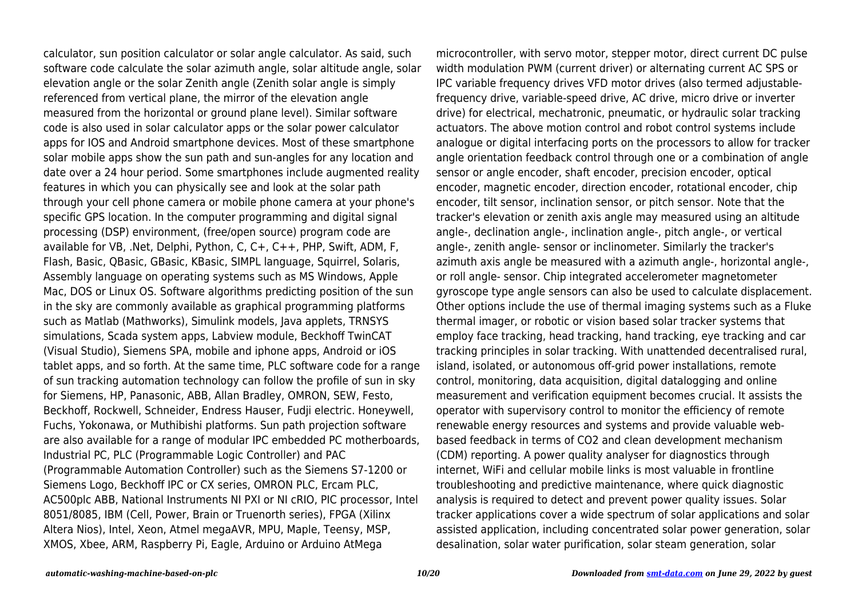calculator, sun position calculator or solar angle calculator. As said, such software code calculate the solar azimuth angle, solar altitude angle, solar elevation angle or the solar Zenith angle (Zenith solar angle is simply referenced from vertical plane, the mirror of the elevation angle measured from the horizontal or ground plane level). Similar software code is also used in solar calculator apps or the solar power calculator apps for IOS and Android smartphone devices. Most of these smartphone solar mobile apps show the sun path and sun-angles for any location and date over a 24 hour period. Some smartphones include augmented reality features in which you can physically see and look at the solar path through your cell phone camera or mobile phone camera at your phone's specific GPS location. In the computer programming and digital signal processing (DSP) environment, (free/open source) program code are available for VB, .Net, Delphi, Python, C, C+, C++, PHP, Swift, ADM, F, Flash, Basic, QBasic, GBasic, KBasic, SIMPL language, Squirrel, Solaris, Assembly language on operating systems such as MS Windows, Apple Mac, DOS or Linux OS. Software algorithms predicting position of the sun in the sky are commonly available as graphical programming platforms such as Matlab (Mathworks), Simulink models, Java applets, TRNSYS simulations, Scada system apps, Labview module, Beckhoff TwinCAT (Visual Studio), Siemens SPA, mobile and iphone apps, Android or iOS tablet apps, and so forth. At the same time, PLC software code for a range of sun tracking automation technology can follow the profile of sun in sky for Siemens, HP, Panasonic, ABB, Allan Bradley, OMRON, SEW, Festo, Beckhoff, Rockwell, Schneider, Endress Hauser, Fudji electric. Honeywell, Fuchs, Yokonawa, or Muthibishi platforms. Sun path projection software are also available for a range of modular IPC embedded PC motherboards, Industrial PC, PLC (Programmable Logic Controller) and PAC (Programmable Automation Controller) such as the Siemens S7-1200 or Siemens Logo, Beckhoff IPC or CX series, OMRON PLC, Ercam PLC, AC500plc ABB, National Instruments NI PXI or NI cRIO, PIC processor, Intel 8051/8085, IBM (Cell, Power, Brain or Truenorth series), FPGA (Xilinx Altera Nios), Intel, Xeon, Atmel megaAVR, MPU, Maple, Teensy, MSP, XMOS, Xbee, ARM, Raspberry Pi, Eagle, Arduino or Arduino AtMega

microcontroller, with servo motor, stepper motor, direct current DC pulse width modulation PWM (current driver) or alternating current AC SPS or IPC variable frequency drives VFD motor drives (also termed adjustablefrequency drive, variable-speed drive, AC drive, micro drive or inverter drive) for electrical, mechatronic, pneumatic, or hydraulic solar tracking actuators. The above motion control and robot control systems include analogue or digital interfacing ports on the processors to allow for tracker angle orientation feedback control through one or a combination of angle sensor or angle encoder, shaft encoder, precision encoder, optical encoder, magnetic encoder, direction encoder, rotational encoder, chip encoder, tilt sensor, inclination sensor, or pitch sensor. Note that the tracker's elevation or zenith axis angle may measured using an altitude angle-, declination angle-, inclination angle-, pitch angle-, or vertical angle-, zenith angle- sensor or inclinometer. Similarly the tracker's azimuth axis angle be measured with a azimuth angle-, horizontal angle-, or roll angle- sensor. Chip integrated accelerometer magnetometer gyroscope type angle sensors can also be used to calculate displacement. Other options include the use of thermal imaging systems such as a Fluke thermal imager, or robotic or vision based solar tracker systems that employ face tracking, head tracking, hand tracking, eye tracking and car tracking principles in solar tracking. With unattended decentralised rural, island, isolated, or autonomous off-grid power installations, remote control, monitoring, data acquisition, digital datalogging and online measurement and verification equipment becomes crucial. It assists the operator with supervisory control to monitor the efficiency of remote renewable energy resources and systems and provide valuable webbased feedback in terms of CO2 and clean development mechanism (CDM) reporting. A power quality analyser for diagnostics through internet, WiFi and cellular mobile links is most valuable in frontline troubleshooting and predictive maintenance, where quick diagnostic analysis is required to detect and prevent power quality issues. Solar tracker applications cover a wide spectrum of solar applications and solar assisted application, including concentrated solar power generation, solar desalination, solar water purification, solar steam generation, solar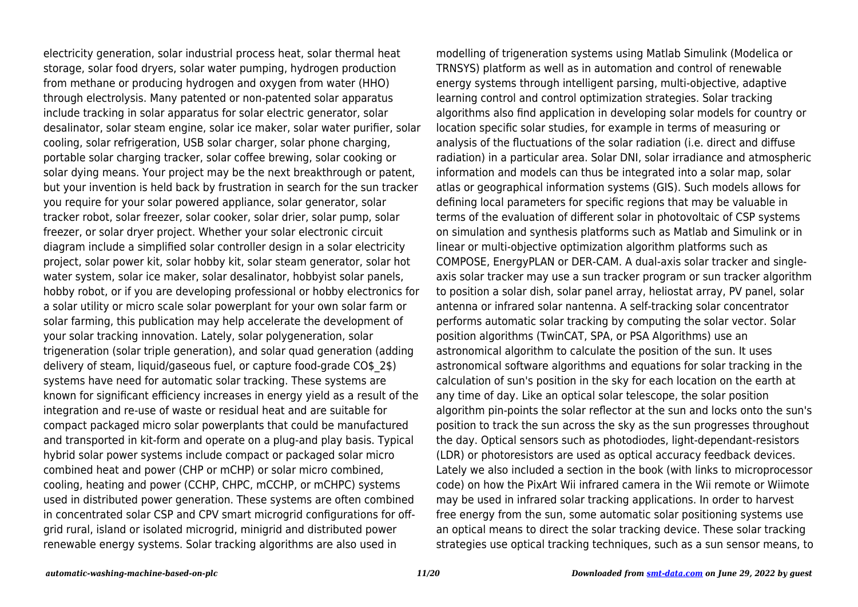electricity generation, solar industrial process heat, solar thermal heat storage, solar food dryers, solar water pumping, hydrogen production from methane or producing hydrogen and oxygen from water (HHO) through electrolysis. Many patented or non-patented solar apparatus include tracking in solar apparatus for solar electric generator, solar desalinator, solar steam engine, solar ice maker, solar water purifier, solar cooling, solar refrigeration, USB solar charger, solar phone charging, portable solar charging tracker, solar coffee brewing, solar cooking or solar dying means. Your project may be the next breakthrough or patent, but your invention is held back by frustration in search for the sun tracker you require for your solar powered appliance, solar generator, solar tracker robot, solar freezer, solar cooker, solar drier, solar pump, solar freezer, or solar dryer project. Whether your solar electronic circuit diagram include a simplified solar controller design in a solar electricity project, solar power kit, solar hobby kit, solar steam generator, solar hot water system, solar ice maker, solar desalinator, hobbyist solar panels, hobby robot, or if you are developing professional or hobby electronics for a solar utility or micro scale solar powerplant for your own solar farm or solar farming, this publication may help accelerate the development of your solar tracking innovation. Lately, solar polygeneration, solar trigeneration (solar triple generation), and solar quad generation (adding delivery of steam, liquid/gaseous fuel, or capture food-grade CO\$\_2\$) systems have need for automatic solar tracking. These systems are known for significant efficiency increases in energy yield as a result of the integration and re-use of waste or residual heat and are suitable for compact packaged micro solar powerplants that could be manufactured and transported in kit-form and operate on a plug-and play basis. Typical hybrid solar power systems include compact or packaged solar micro combined heat and power (CHP or mCHP) or solar micro combined, cooling, heating and power (CCHP, CHPC, mCCHP, or mCHPC) systems used in distributed power generation. These systems are often combined in concentrated solar CSP and CPV smart microgrid configurations for offgrid rural, island or isolated microgrid, minigrid and distributed power renewable energy systems. Solar tracking algorithms are also used in

modelling of trigeneration systems using Matlab Simulink (Modelica or TRNSYS) platform as well as in automation and control of renewable energy systems through intelligent parsing, multi-objective, adaptive learning control and control optimization strategies. Solar tracking algorithms also find application in developing solar models for country or location specific solar studies, for example in terms of measuring or analysis of the fluctuations of the solar radiation (i.e. direct and diffuse radiation) in a particular area. Solar DNI, solar irradiance and atmospheric information and models can thus be integrated into a solar map, solar atlas or geographical information systems (GIS). Such models allows for defining local parameters for specific regions that may be valuable in terms of the evaluation of different solar in photovoltaic of CSP systems on simulation and synthesis platforms such as Matlab and Simulink or in linear or multi-objective optimization algorithm platforms such as COMPOSE, EnergyPLAN or DER-CAM. A dual-axis solar tracker and singleaxis solar tracker may use a sun tracker program or sun tracker algorithm to position a solar dish, solar panel array, heliostat array, PV panel, solar antenna or infrared solar nantenna. A self-tracking solar concentrator performs automatic solar tracking by computing the solar vector. Solar position algorithms (TwinCAT, SPA, or PSA Algorithms) use an astronomical algorithm to calculate the position of the sun. It uses astronomical software algorithms and equations for solar tracking in the calculation of sun's position in the sky for each location on the earth at any time of day. Like an optical solar telescope, the solar position algorithm pin-points the solar reflector at the sun and locks onto the sun's position to track the sun across the sky as the sun progresses throughout the day. Optical sensors such as photodiodes, light-dependant-resistors (LDR) or photoresistors are used as optical accuracy feedback devices. Lately we also included a section in the book (with links to microprocessor code) on how the PixArt Wii infrared camera in the Wii remote or Wiimote may be used in infrared solar tracking applications. In order to harvest free energy from the sun, some automatic solar positioning systems use an optical means to direct the solar tracking device. These solar tracking strategies use optical tracking techniques, such as a sun sensor means, to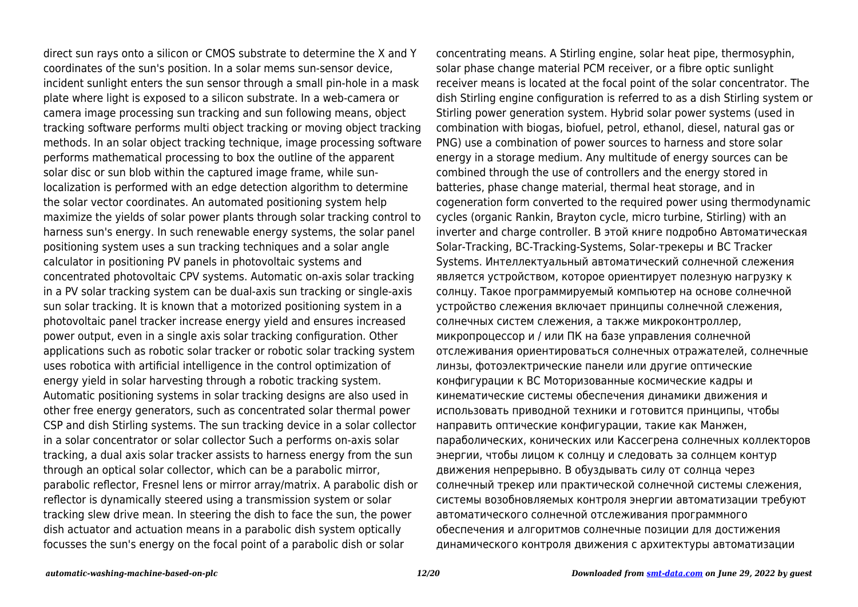direct sun rays onto a silicon or CMOS substrate to determine the X and Y coordinates of the sun's position. In a solar mems sun-sensor device, incident sunlight enters the sun sensor through a small pin-hole in a mask plate where light is exposed to a silicon substrate. In a web-camera or camera image processing sun tracking and sun following means, object tracking software performs multi object tracking or moving object tracking methods. In an solar object tracking technique, image processing software performs mathematical processing to box the outline of the apparent solar disc or sun blob within the captured image frame, while sunlocalization is performed with an edge detection algorithm to determine the solar vector coordinates. An automated positioning system help maximize the yields of solar power plants through solar tracking control to harness sun's energy. In such renewable energy systems, the solar panel positioning system uses a sun tracking techniques and a solar angle calculator in positioning PV panels in photovoltaic systems and concentrated photovoltaic CPV systems. Automatic on-axis solar tracking in a PV solar tracking system can be dual-axis sun tracking or single-axis sun solar tracking. It is known that a motorized positioning system in a photovoltaic panel tracker increase energy yield and ensures increased power output, even in a single axis solar tracking configuration. Other applications such as robotic solar tracker or robotic solar tracking system uses robotica with artificial intelligence in the control optimization of energy yield in solar harvesting through a robotic tracking system. Automatic positioning systems in solar tracking designs are also used in other free energy generators, such as concentrated solar thermal power CSP and dish Stirling systems. The sun tracking device in a solar collector in a solar concentrator or solar collector Such a performs on-axis solar tracking, a dual axis solar tracker assists to harness energy from the sun through an optical solar collector, which can be a parabolic mirror, parabolic reflector, Fresnel lens or mirror array/matrix. A parabolic dish or reflector is dynamically steered using a transmission system or solar tracking slew drive mean. In steering the dish to face the sun, the power dish actuator and actuation means in a parabolic dish system optically focusses the sun's energy on the focal point of a parabolic dish or solar

concentrating means. A Stirling engine, solar heat pipe, thermosyphin, solar phase change material PCM receiver, or a fibre optic sunlight receiver means is located at the focal point of the solar concentrator. The dish Stirling engine configuration is referred to as a dish Stirling system or Stirling power generation system. Hybrid solar power systems (used in combination with biogas, biofuel, petrol, ethanol, diesel, natural gas or PNG) use a combination of power sources to harness and store solar energy in a storage medium. Any multitude of energy sources can be combined through the use of controllers and the energy stored in batteries, phase change material, thermal heat storage, and in cogeneration form converted to the required power using thermodynamic cycles (organic Rankin, Brayton cycle, micro turbine, Stirling) with an inverter and charge controller. В этой книге подробно Автоматическая Solar-Tracking, ВС-Tracking-Systems, Solar-трекеры и ВС Tracker Systems. Интеллектуальный автоматический солнечной слежения является устройством, которое ориентирует полезную нагрузку к солнцу. Такое программируемый компьютер на основе солнечной устройство слежения включает принципы солнечной слежения, солнечных систем слежения, а также микроконтроллер, микропроцессор и / или ПК на базе управления солнечной отслеживания ориентироваться солнечных отражателей, солнечные линзы, фотоэлектрические панели или другие оптические конфигурации к ВС Моторизованные космические кадры и кинематические системы обеспечения динамики движения и использовать приводной техники и готовится принципы, чтобы направить оптические конфигурации, такие как Манжен, параболических, конических или Кассегрена солнечных коллекторов энергии, чтобы лицом к солнцу и следовать за солнцем контур движения непрерывно. В обуздывать силу от солнца через солнечный трекер или практической солнечной системы слежения, системы возобновляемых контроля энергии автоматизации требуют автоматического солнечной отслеживания программного обеспечения и алгоритмов солнечные позиции для достижения динамического контроля движения с архитектуры автоматизации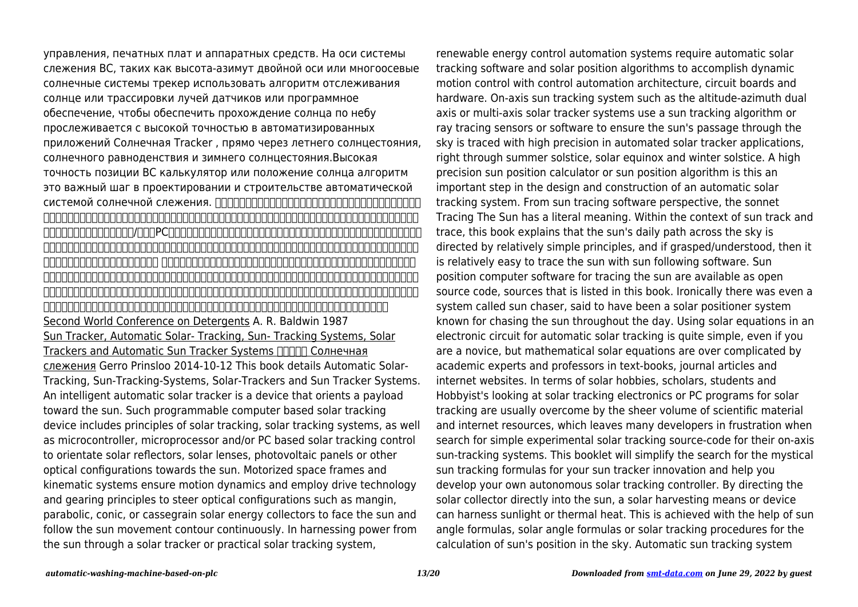управления, печатных плат и аппаратных средств. На оси системы слежения ВС, таких как высота-азимут двойной оси или многоосевые солнечные системы трекер использовать алгоритм отслеживания солнце или трассировки лучей датчиков или программное обеспечение, чтобы обеспечить прохождение солнца по небу прослеживается с высокой точностью в автоматизированных приложений Солнечная Tracker , прямо через летнего солнцестояния, солнечного равноденствия и зимнего солнцестояния.Высокая точность позиции ВС калькулятор или положение солнца алгоритм это важный шаг в проектировании и строительстве автоматической системой солнечной слежения. ППППППППППППППППППППППППППППППП 太陽跟踪系統。智能全自動太陽能跟踪器是定向向著太陽的有效載荷設備。這種可編程計算機的太陽能跟踪裝置,包括太陽跟踪,太陽能跟踪  $\blacksquare$ תחתהתה ומשלחה מה PC 機動空間框架和運動系統,確保運動動力學和採用的驅動技術和傳動原理引導光學配置,如曼金,拋物線,圓錐曲線,或卡塞格林式太陽能集 熱器面向太陽,不斷跟隨太陽運動的輪廓。 從陽光透過太陽能跟踪器或實用的太陽能跟踪系統利用電力,可再生能源控制的自動化系統需要 自動太陽跟踪軟件和太陽位置算法來實現控制與自動化架構,電路板和硬件的動態運動控制。上軸太陽跟踪系統,如高度,方位角雙軸或多軸 太陽跟踪系統使用太陽跟踪算法或光線追踪傳感器或軟件,以確保通過天空中太陽的通道被跟踪的高精度的自動太陽跟踪器的應用,通過正確 的夏至,春分太陽和冬至。一種高精度太陽位置計算器或太陽位置算法是這樣的自動太陽能跟踪系統的設計和施工中的重要一步。 Second World Conference on Detergents A. R. Baldwin 1987 Sun Tracker, Automatic Solar- Tracking, Sun- Tracking Systems, Solar Trackers and Automatic Sun Tracker Systems **ПЛПП** Солнечная слежения Gerro Prinsloo 2014-10-12 This book details Automatic Solar-Tracking, Sun-Tracking-Systems, Solar-Trackers and Sun Tracker Systems. An intelligent automatic solar tracker is a device that orients a payload toward the sun. Such programmable computer based solar tracking device includes principles of solar tracking, solar tracking systems, as well as microcontroller, microprocessor and/or PC based solar tracking control to orientate solar reflectors, solar lenses, photovoltaic panels or other optical configurations towards the sun. Motorized space frames and kinematic systems ensure motion dynamics and employ drive technology and gearing principles to steer optical configurations such as mangin, parabolic, conic, or cassegrain solar energy collectors to face the sun and follow the sun movement contour continuously. In harnessing power from the sun through a solar tracker or practical solar tracking system,

renewable energy control automation systems require automatic solar tracking software and solar position algorithms to accomplish dynamic motion control with control automation architecture, circuit boards and hardware. On-axis sun tracking system such as the altitude-azimuth dual axis or multi-axis solar tracker systems use a sun tracking algorithm or ray tracing sensors or software to ensure the sun's passage through the sky is traced with high precision in automated solar tracker applications, right through summer solstice, solar equinox and winter solstice. A high precision sun position calculator or sun position algorithm is this an important step in the design and construction of an automatic solar tracking system. From sun tracing software perspective, the sonnet Tracing The Sun has a literal meaning. Within the context of sun track and trace, this book explains that the sun's daily path across the sky is directed by relatively simple principles, and if grasped/understood, then it is relatively easy to trace the sun with sun following software. Sun position computer software for tracing the sun are available as open source code, sources that is listed in this book. Ironically there was even a system called sun chaser, said to have been a solar positioner system known for chasing the sun throughout the day. Using solar equations in an electronic circuit for automatic solar tracking is quite simple, even if you are a novice, but mathematical solar equations are over complicated by academic experts and professors in text-books, journal articles and internet websites. In terms of solar hobbies, scholars, students and Hobbyist's looking at solar tracking electronics or PC programs for solar tracking are usually overcome by the sheer volume of scientific material and internet resources, which leaves many developers in frustration when search for simple experimental solar tracking source-code for their on-axis sun-tracking systems. This booklet will simplify the search for the mystical sun tracking formulas for your sun tracker innovation and help you develop your own autonomous solar tracking controller. By directing the solar collector directly into the sun, a solar harvesting means or device can harness sunlight or thermal heat. This is achieved with the help of sun angle formulas, solar angle formulas or solar tracking procedures for the calculation of sun's position in the sky. Automatic sun tracking system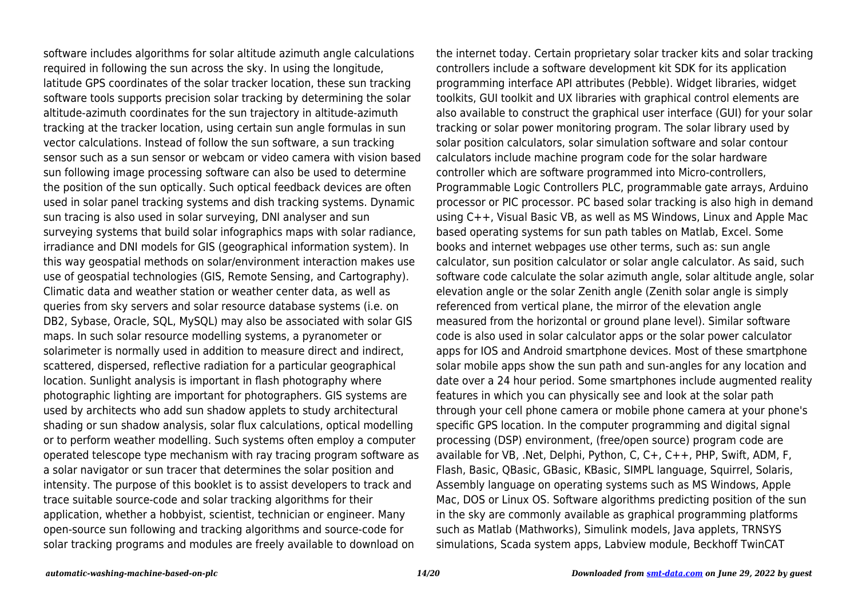software includes algorithms for solar altitude azimuth angle calculations required in following the sun across the sky. In using the longitude, latitude GPS coordinates of the solar tracker location, these sun tracking software tools supports precision solar tracking by determining the solar altitude-azimuth coordinates for the sun trajectory in altitude-azimuth tracking at the tracker location, using certain sun angle formulas in sun vector calculations. Instead of follow the sun software, a sun tracking sensor such as a sun sensor or webcam or video camera with vision based sun following image processing software can also be used to determine the position of the sun optically. Such optical feedback devices are often used in solar panel tracking systems and dish tracking systems. Dynamic sun tracing is also used in solar surveying, DNI analyser and sun surveying systems that build solar infographics maps with solar radiance, irradiance and DNI models for GIS (geographical information system). In this way geospatial methods on solar/environment interaction makes use use of geospatial technologies (GIS, Remote Sensing, and Cartography). Climatic data and weather station or weather center data, as well as queries from sky servers and solar resource database systems (i.e. on DB2, Sybase, Oracle, SQL, MySQL) may also be associated with solar GIS maps. In such solar resource modelling systems, a pyranometer or solarimeter is normally used in addition to measure direct and indirect, scattered, dispersed, reflective radiation for a particular geographical location. Sunlight analysis is important in flash photography where photographic lighting are important for photographers. GIS systems are used by architects who add sun shadow applets to study architectural shading or sun shadow analysis, solar flux calculations, optical modelling or to perform weather modelling. Such systems often employ a computer operated telescope type mechanism with ray tracing program software as a solar navigator or sun tracer that determines the solar position and intensity. The purpose of this booklet is to assist developers to track and trace suitable source-code and solar tracking algorithms for their application, whether a hobbyist, scientist, technician or engineer. Many open-source sun following and tracking algorithms and source-code for solar tracking programs and modules are freely available to download on

the internet today. Certain proprietary solar tracker kits and solar tracking controllers include a software development kit SDK for its application programming interface API attributes (Pebble). Widget libraries, widget toolkits, GUI toolkit and UX libraries with graphical control elements are also available to construct the graphical user interface (GUI) for your solar tracking or solar power monitoring program. The solar library used by solar position calculators, solar simulation software and solar contour calculators include machine program code for the solar hardware controller which are software programmed into Micro-controllers, Programmable Logic Controllers PLC, programmable gate arrays, Arduino processor or PIC processor. PC based solar tracking is also high in demand using C++, Visual Basic VB, as well as MS Windows, Linux and Apple Mac based operating systems for sun path tables on Matlab, Excel. Some books and internet webpages use other terms, such as: sun angle calculator, sun position calculator or solar angle calculator. As said, such software code calculate the solar azimuth angle, solar altitude angle, solar elevation angle or the solar Zenith angle (Zenith solar angle is simply referenced from vertical plane, the mirror of the elevation angle measured from the horizontal or ground plane level). Similar software code is also used in solar calculator apps or the solar power calculator apps for IOS and Android smartphone devices. Most of these smartphone solar mobile apps show the sun path and sun-angles for any location and date over a 24 hour period. Some smartphones include augmented reality features in which you can physically see and look at the solar path through your cell phone camera or mobile phone camera at your phone's specific GPS location. In the computer programming and digital signal processing (DSP) environment, (free/open source) program code are available for VB, .Net, Delphi, Python, C, C+, C++, PHP, Swift, ADM, F, Flash, Basic, QBasic, GBasic, KBasic, SIMPL language, Squirrel, Solaris, Assembly language on operating systems such as MS Windows, Apple Mac, DOS or Linux OS. Software algorithms predicting position of the sun in the sky are commonly available as graphical programming platforms such as Matlab (Mathworks), Simulink models, Java applets, TRNSYS simulations, Scada system apps, Labview module, Beckhoff TwinCAT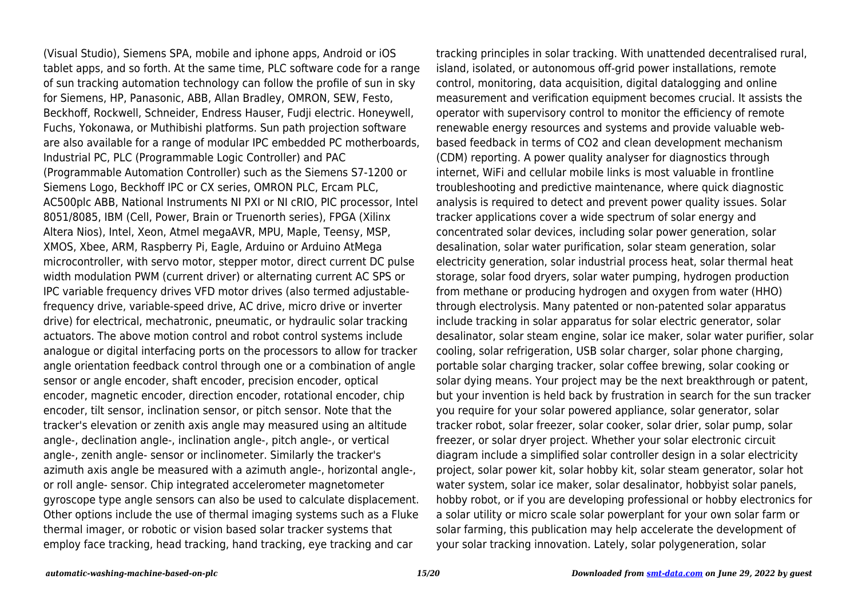(Visual Studio), Siemens SPA, mobile and iphone apps, Android or iOS tablet apps, and so forth. At the same time, PLC software code for a range of sun tracking automation technology can follow the profile of sun in sky for Siemens, HP, Panasonic, ABB, Allan Bradley, OMRON, SEW, Festo, Beckhoff, Rockwell, Schneider, Endress Hauser, Fudji electric. Honeywell, Fuchs, Yokonawa, or Muthibishi platforms. Sun path projection software are also available for a range of modular IPC embedded PC motherboards, Industrial PC, PLC (Programmable Logic Controller) and PAC (Programmable Automation Controller) such as the Siemens S7-1200 or Siemens Logo, Beckhoff IPC or CX series, OMRON PLC, Ercam PLC, AC500plc ABB, National Instruments NI PXI or NI cRIO, PIC processor, Intel 8051/8085, IBM (Cell, Power, Brain or Truenorth series), FPGA (Xilinx Altera Nios), Intel, Xeon, Atmel megaAVR, MPU, Maple, Teensy, MSP, XMOS, Xbee, ARM, Raspberry Pi, Eagle, Arduino or Arduino AtMega microcontroller, with servo motor, stepper motor, direct current DC pulse width modulation PWM (current driver) or alternating current AC SPS or IPC variable frequency drives VFD motor drives (also termed adjustablefrequency drive, variable-speed drive, AC drive, micro drive or inverter drive) for electrical, mechatronic, pneumatic, or hydraulic solar tracking actuators. The above motion control and robot control systems include analogue or digital interfacing ports on the processors to allow for tracker angle orientation feedback control through one or a combination of angle sensor or angle encoder, shaft encoder, precision encoder, optical encoder, magnetic encoder, direction encoder, rotational encoder, chip encoder, tilt sensor, inclination sensor, or pitch sensor. Note that the tracker's elevation or zenith axis angle may measured using an altitude angle-, declination angle-, inclination angle-, pitch angle-, or vertical angle-, zenith angle- sensor or inclinometer. Similarly the tracker's azimuth axis angle be measured with a azimuth angle-, horizontal angle-, or roll angle- sensor. Chip integrated accelerometer magnetometer gyroscope type angle sensors can also be used to calculate displacement. Other options include the use of thermal imaging systems such as a Fluke thermal imager, or robotic or vision based solar tracker systems that employ face tracking, head tracking, hand tracking, eye tracking and car

tracking principles in solar tracking. With unattended decentralised rural, island, isolated, or autonomous off-grid power installations, remote control, monitoring, data acquisition, digital datalogging and online measurement and verification equipment becomes crucial. It assists the operator with supervisory control to monitor the efficiency of remote renewable energy resources and systems and provide valuable webbased feedback in terms of CO2 and clean development mechanism (CDM) reporting. A power quality analyser for diagnostics through internet, WiFi and cellular mobile links is most valuable in frontline troubleshooting and predictive maintenance, where quick diagnostic analysis is required to detect and prevent power quality issues. Solar tracker applications cover a wide spectrum of solar energy and concentrated solar devices, including solar power generation, solar desalination, solar water purification, solar steam generation, solar electricity generation, solar industrial process heat, solar thermal heat storage, solar food dryers, solar water pumping, hydrogen production from methane or producing hydrogen and oxygen from water (HHO) through electrolysis. Many patented or non-patented solar apparatus include tracking in solar apparatus for solar electric generator, solar desalinator, solar steam engine, solar ice maker, solar water purifier, solar cooling, solar refrigeration, USB solar charger, solar phone charging, portable solar charging tracker, solar coffee brewing, solar cooking or solar dying means. Your project may be the next breakthrough or patent, but your invention is held back by frustration in search for the sun tracker you require for your solar powered appliance, solar generator, solar tracker robot, solar freezer, solar cooker, solar drier, solar pump, solar freezer, or solar dryer project. Whether your solar electronic circuit diagram include a simplified solar controller design in a solar electricity project, solar power kit, solar hobby kit, solar steam generator, solar hot water system, solar ice maker, solar desalinator, hobbyist solar panels, hobby robot, or if you are developing professional or hobby electronics for a solar utility or micro scale solar powerplant for your own solar farm or solar farming, this publication may help accelerate the development of your solar tracking innovation. Lately, solar polygeneration, solar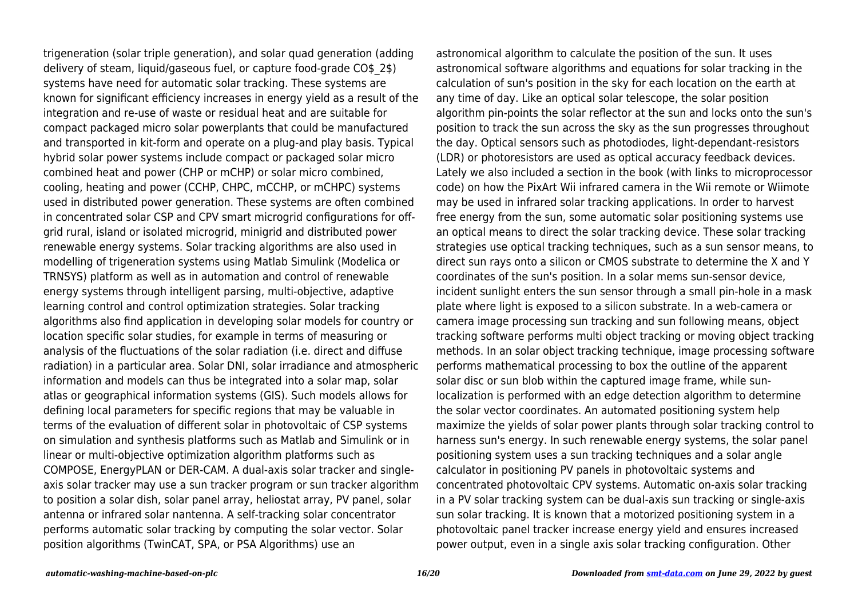trigeneration (solar triple generation), and solar quad generation (adding delivery of steam, liquid/gaseous fuel, or capture food-grade CO\$\_2\$) systems have need for automatic solar tracking. These systems are known for significant efficiency increases in energy yield as a result of the integration and re-use of waste or residual heat and are suitable for compact packaged micro solar powerplants that could be manufactured and transported in kit-form and operate on a plug-and play basis. Typical hybrid solar power systems include compact or packaged solar micro combined heat and power (CHP or mCHP) or solar micro combined, cooling, heating and power (CCHP, CHPC, mCCHP, or mCHPC) systems used in distributed power generation. These systems are often combined in concentrated solar CSP and CPV smart microgrid configurations for offgrid rural, island or isolated microgrid, minigrid and distributed power renewable energy systems. Solar tracking algorithms are also used in modelling of trigeneration systems using Matlab Simulink (Modelica or TRNSYS) platform as well as in automation and control of renewable energy systems through intelligent parsing, multi-objective, adaptive learning control and control optimization strategies. Solar tracking algorithms also find application in developing solar models for country or location specific solar studies, for example in terms of measuring or analysis of the fluctuations of the solar radiation (i.e. direct and diffuse radiation) in a particular area. Solar DNI, solar irradiance and atmospheric information and models can thus be integrated into a solar map, solar atlas or geographical information systems (GIS). Such models allows for defining local parameters for specific regions that may be valuable in terms of the evaluation of different solar in photovoltaic of CSP systems on simulation and synthesis platforms such as Matlab and Simulink or in linear or multi-objective optimization algorithm platforms such as COMPOSE, EnergyPLAN or DER-CAM. A dual-axis solar tracker and singleaxis solar tracker may use a sun tracker program or sun tracker algorithm to position a solar dish, solar panel array, heliostat array, PV panel, solar antenna or infrared solar nantenna. A self-tracking solar concentrator performs automatic solar tracking by computing the solar vector. Solar position algorithms (TwinCAT, SPA, or PSA Algorithms) use an

astronomical algorithm to calculate the position of the sun. It uses astronomical software algorithms and equations for solar tracking in the calculation of sun's position in the sky for each location on the earth at any time of day. Like an optical solar telescope, the solar position algorithm pin-points the solar reflector at the sun and locks onto the sun's position to track the sun across the sky as the sun progresses throughout the day. Optical sensors such as photodiodes, light-dependant-resistors (LDR) or photoresistors are used as optical accuracy feedback devices. Lately we also included a section in the book (with links to microprocessor code) on how the PixArt Wii infrared camera in the Wii remote or Wiimote may be used in infrared solar tracking applications. In order to harvest free energy from the sun, some automatic solar positioning systems use an optical means to direct the solar tracking device. These solar tracking strategies use optical tracking techniques, such as a sun sensor means, to direct sun rays onto a silicon or CMOS substrate to determine the X and Y coordinates of the sun's position. In a solar mems sun-sensor device, incident sunlight enters the sun sensor through a small pin-hole in a mask plate where light is exposed to a silicon substrate. In a web-camera or camera image processing sun tracking and sun following means, object tracking software performs multi object tracking or moving object tracking methods. In an solar object tracking technique, image processing software performs mathematical processing to box the outline of the apparent solar disc or sun blob within the captured image frame, while sunlocalization is performed with an edge detection algorithm to determine the solar vector coordinates. An automated positioning system help maximize the yields of solar power plants through solar tracking control to harness sun's energy. In such renewable energy systems, the solar panel positioning system uses a sun tracking techniques and a solar angle calculator in positioning PV panels in photovoltaic systems and concentrated photovoltaic CPV systems. Automatic on-axis solar tracking in a PV solar tracking system can be dual-axis sun tracking or single-axis sun solar tracking. It is known that a motorized positioning system in a photovoltaic panel tracker increase energy yield and ensures increased power output, even in a single axis solar tracking configuration. Other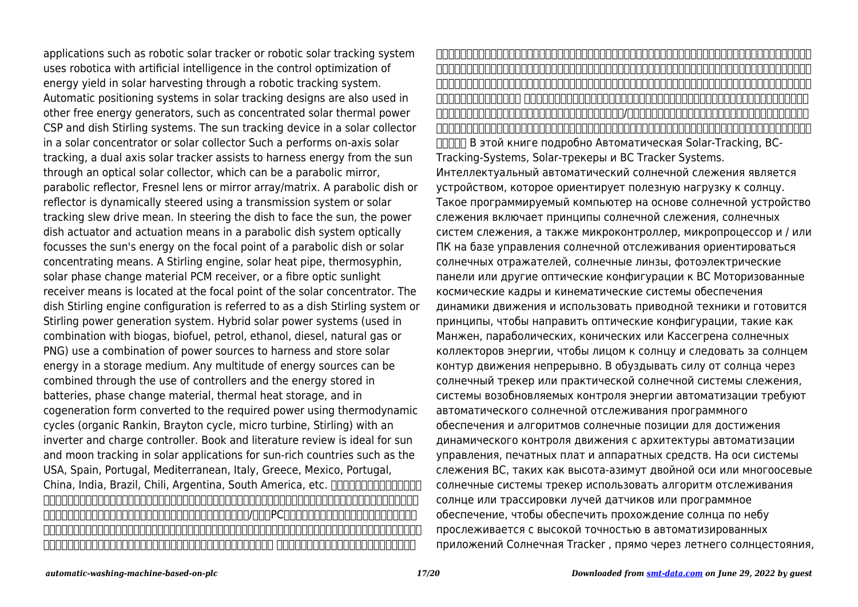applications such as robotic solar tracker or robotic solar tracking system uses robotica with artificial intelligence in the control optimization of energy yield in solar harvesting through a robotic tracking system. Automatic positioning systems in solar tracking designs are also used in other free energy generators, such as concentrated solar thermal power CSP and dish Stirling systems. The sun tracking device in a solar collector in a solar concentrator or solar collector Such a performs on-axis solar tracking, a dual axis solar tracker assists to harness energy from the sun through an optical solar collector, which can be a parabolic mirror, parabolic reflector, Fresnel lens or mirror array/matrix. A parabolic dish or reflector is dynamically steered using a transmission system or solar tracking slew drive mean. In steering the dish to face the sun, the power dish actuator and actuation means in a parabolic dish system optically focusses the sun's energy on the focal point of a parabolic dish or solar concentrating means. A Stirling engine, solar heat pipe, thermosyphin, solar phase change material PCM receiver, or a fibre optic sunlight receiver means is located at the focal point of the solar concentrator. The dish Stirling engine configuration is referred to as a dish Stirling system or Stirling power generation system. Hybrid solar power systems (used in combination with biogas, biofuel, petrol, ethanol, diesel, natural gas or PNG) use a combination of power sources to harness and store solar energy in a storage medium. Any multitude of energy sources can be combined through the use of controllers and the energy stored in batteries, phase change material, thermal heat storage, and in cogeneration form converted to the required power using thermodynamic cycles (organic Rankin, Brayton cycle, micro turbine, Stirling) with an inverter and charge controller. Book and literature review is ideal for sun and moon tracking in solar applications for sun-rich countries such as the USA, Spain, Portugal, Mediterranean, Italy, Greece, Mexico, Portugal, China, India, Brazil, Chili, Argentina, South America, etc. 100000000000000000000 踪,太阳跟踪系统的出现,太阳能跟踪器和太阳跟踪系统。智能全自动太阳能跟踪器是定向向着太阳的有效载荷设备。这种可编程计算机的太 阳能跟踪装置,包括太阳跟踪,太阳能跟踪系统,以及微控制器,微处理器和/或基于PC机的太阳跟踪控制,以定向太阳能反射器,太阳透 镜,光电板或其他光学配置朝向太阳的原理。机动空间框架和运动系统,确保运动动力学和采用的驱动技术和传动原理引导光学配置,如曼金, 抛物线,圆锥曲线,或卡塞格林式太阳能集热器面向太阳,不断跟随太阳运动的轮廓。 从阳光透过太阳能跟踪器或实用的太阳能跟踪系统利

用电力,可再生能源控制的自动化系统需要自动太阳跟踪软件和太阳位置算法来实现控制与自动化架构,电路板和硬件的动态运动控制。上轴 太阳跟踪系统,如高度,方位角双轴或多轴太阳跟踪系统使用太阳跟踪算法或光线追踪传感器或软件,以确保通过天空中太阳的通道被跟踪的 高精度的自动太阳跟踪器的应用,通过正确的夏至,春分太阳和冬至。一种高精度太阳位置计算器或太阳位置算法是这样的自动太阳能跟踪系 统的设计和施工中的重要一步。 从太阳跟踪软件的角度来看,十四行诗跟踪太阳有一个字面意义。在太阳跟踪和追踪的背景下,这本书解释 说,在天空中太阳的日常路径是通过相对简单的原则导向的,如果掌握/了解的话,就比较容易追查以下软件,太阳有太阳。是太阳位置的计 算机软件用于跟踪太阳作为开源代码,列出在这本书的来源。讽刺的是还出现了系统,称为太阳跟踪器,据说已经知道了追逐太阳全天太阳能 ПППП В этой книге подробно Автоматическая Solar-Tracking. BC-Tracking-Systems, Solar-трекеры и ВС Tracker Systems. Интеллектуальный автоматический солнечной слежения является устройством, которое ориентирует полезную нагрузку к солнцу. Такое программируемый компьютер на основе солнечной устройство слежения включает принципы солнечной слежения, солнечных систем слежения, а также микроконтроллер, микропроцессор и / или ПК на базе управления солнечной отслеживания ориентироваться солнечных отражателей, солнечные линзы, фотоэлектрические панели или другие оптические конфигурации к ВС Моторизованные космические кадры и кинематические системы обеспечения динамики движения и использовать приводной техники и готовится принципы, чтобы направить оптические конфигурации, такие как Манжен, параболических, конических или Кассегрена солнечных коллекторов энергии, чтобы лицом к солнцу и следовать за солнцем контур движения непрерывно. В обуздывать силу от солнца через солнечный трекер или практической солнечной системы слежения, системы возобновляемых контроля энергии автоматизации требуют автоматического солнечной отслеживания программного обеспечения и алгоритмов солнечные позиции для достижения динамического контроля движения с архитектуры автоматизации управления, печатных плат и аппаратных средств. На оси системы слежения ВС, таких как высота-азимут двойной оси или многоосевые солнечные системы трекер использовать алгоритм отслеживания солнце или трассировки лучей датчиков или программное обеспечение, чтобы обеспечить прохождение солнца по небу прослеживается с высокой точностью в автоматизированных приложений Солнечная Tracker , прямо через летнего солнцестояния,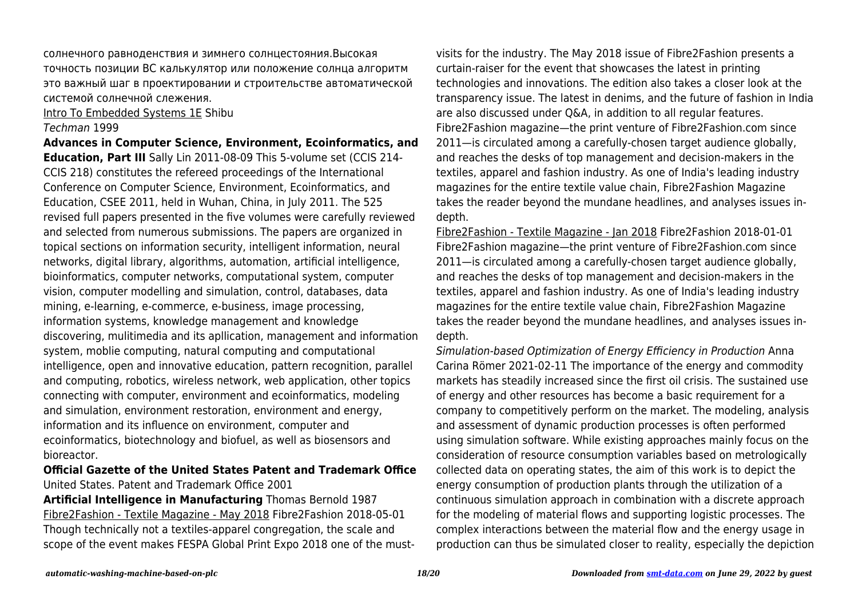солнечного равноденствия и зимнего солнцестояния.Высокая точность позиции ВС калькулятор или положение солнца алгоритм это важный шаг в проектировании и строительстве автоматической системой солнечной слежения.

Intro To Embedded Systems 1E Shibu

#### Techman 1999

**Advances in Computer Science, Environment, Ecoinformatics, and Education, Part III** Sally Lin 2011-08-09 This 5-volume set (CCIS 214- CCIS 218) constitutes the refereed proceedings of the International Conference on Computer Science, Environment, Ecoinformatics, and Education, CSEE 2011, held in Wuhan, China, in July 2011. The 525 revised full papers presented in the five volumes were carefully reviewed and selected from numerous submissions. The papers are organized in topical sections on information security, intelligent information, neural networks, digital library, algorithms, automation, artificial intelligence, bioinformatics, computer networks, computational system, computer vision, computer modelling and simulation, control, databases, data mining, e-learning, e-commerce, e-business, image processing, information systems, knowledge management and knowledge discovering, mulitimedia and its apllication, management and information system, moblie computing, natural computing and computational intelligence, open and innovative education, pattern recognition, parallel and computing, robotics, wireless network, web application, other topics connecting with computer, environment and ecoinformatics, modeling and simulation, environment restoration, environment and energy, information and its influence on environment, computer and ecoinformatics, biotechnology and biofuel, as well as biosensors and bioreactor.

# **Official Gazette of the United States Patent and Trademark Office** United States. Patent and Trademark Office 2001

**Artificial Intelligence in Manufacturing** Thomas Bernold 1987 Fibre2Fashion - Textile Magazine - May 2018 Fibre2Fashion 2018-05-01 Though technically not a textiles-apparel congregation, the scale and scope of the event makes FESPA Global Print Expo 2018 one of the mustvisits for the industry. The May 2018 issue of Fibre2Fashion presents a curtain-raiser for the event that showcases the latest in printing technologies and innovations. The edition also takes a closer look at the transparency issue. The latest in denims, and the future of fashion in India are also discussed under Q&A, in addition to all regular features. Fibre2Fashion magazine—the print venture of Fibre2Fashion.com since 2011—is circulated among a carefully-chosen target audience globally, and reaches the desks of top management and decision-makers in the textiles, apparel and fashion industry. As one of India's leading industry magazines for the entire textile value chain, Fibre2Fashion Magazine takes the reader beyond the mundane headlines, and analyses issues indepth.

Fibre2Fashion - Textile Magazine - Jan 2018 Fibre2Fashion 2018-01-01 Fibre2Fashion magazine—the print venture of Fibre2Fashion.com since 2011—is circulated among a carefully-chosen target audience globally, and reaches the desks of top management and decision-makers in the textiles, apparel and fashion industry. As one of India's leading industry magazines for the entire textile value chain, Fibre2Fashion Magazine takes the reader beyond the mundane headlines, and analyses issues indepth.

Simulation-based Optimization of Energy Efficiency in Production Anna Carina Römer 2021-02-11 The importance of the energy and commodity markets has steadily increased since the first oil crisis. The sustained use of energy and other resources has become a basic requirement for a company to competitively perform on the market. The modeling, analysis and assessment of dynamic production processes is often performed using simulation software. While existing approaches mainly focus on the consideration of resource consumption variables based on metrologically collected data on operating states, the aim of this work is to depict the energy consumption of production plants through the utilization of a continuous simulation approach in combination with a discrete approach for the modeling of material flows and supporting logistic processes. The complex interactions between the material flow and the energy usage in production can thus be simulated closer to reality, especially the depiction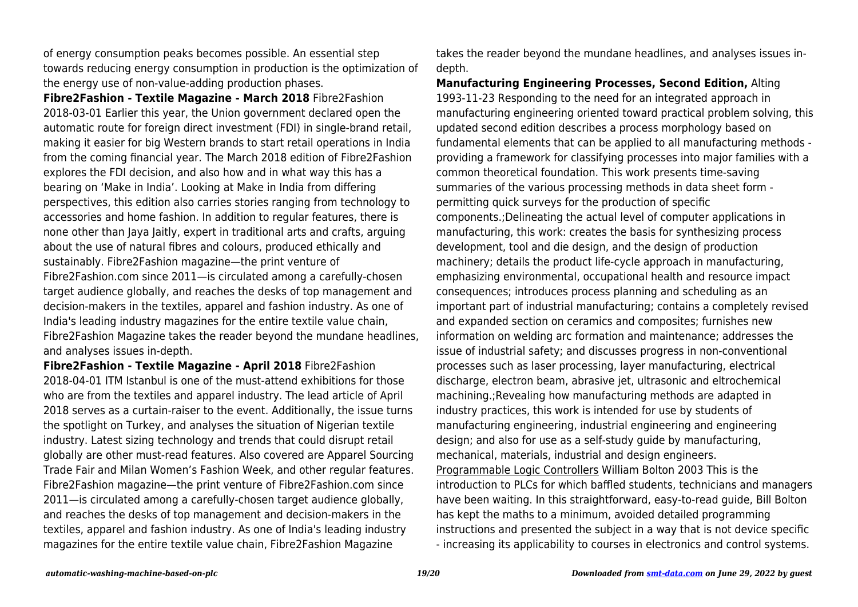of energy consumption peaks becomes possible. An essential step towards reducing energy consumption in production is the optimization of the energy use of non-value-adding production phases.

**Fibre2Fashion - Textile Magazine - March 2018** Fibre2Fashion 2018-03-01 Earlier this year, the Union government declared open the automatic route for foreign direct investment (FDI) in single-brand retail, making it easier for big Western brands to start retail operations in India from the coming financial year. The March 2018 edition of Fibre2Fashion explores the FDI decision, and also how and in what way this has a bearing on 'Make in India'. Looking at Make in India from differing perspectives, this edition also carries stories ranging from technology to accessories and home fashion. In addition to regular features, there is none other than Jaya Jaitly, expert in traditional arts and crafts, arguing about the use of natural fibres and colours, produced ethically and sustainably. Fibre2Fashion magazine—the print venture of Fibre2Fashion.com since 2011—is circulated among a carefully-chosen target audience globally, and reaches the desks of top management and decision-makers in the textiles, apparel and fashion industry. As one of India's leading industry magazines for the entire textile value chain, Fibre2Fashion Magazine takes the reader beyond the mundane headlines, and analyses issues in-depth.

**Fibre2Fashion - Textile Magazine - April 2018** Fibre2Fashion 2018-04-01 ITM Istanbul is one of the must-attend exhibitions for those who are from the textiles and apparel industry. The lead article of April 2018 serves as a curtain-raiser to the event. Additionally, the issue turns the spotlight on Turkey, and analyses the situation of Nigerian textile industry. Latest sizing technology and trends that could disrupt retail globally are other must-read features. Also covered are Apparel Sourcing Trade Fair and Milan Women's Fashion Week, and other regular features. Fibre2Fashion magazine—the print venture of Fibre2Fashion.com since 2011—is circulated among a carefully-chosen target audience globally, and reaches the desks of top management and decision-makers in the textiles, apparel and fashion industry. As one of India's leading industry magazines for the entire textile value chain, Fibre2Fashion Magazine

takes the reader beyond the mundane headlines, and analyses issues indepth.

**Manufacturing Engineering Processes, Second Edition,** Alting 1993-11-23 Responding to the need for an integrated approach in manufacturing engineering oriented toward practical problem solving, this updated second edition describes a process morphology based on fundamental elements that can be applied to all manufacturing methods providing a framework for classifying processes into major families with a common theoretical foundation. This work presents time-saving summaries of the various processing methods in data sheet form permitting quick surveys for the production of specific components.;Delineating the actual level of computer applications in manufacturing, this work: creates the basis for synthesizing process development, tool and die design, and the design of production machinery; details the product life-cycle approach in manufacturing, emphasizing environmental, occupational health and resource impact consequences; introduces process planning and scheduling as an important part of industrial manufacturing; contains a completely revised and expanded section on ceramics and composites; furnishes new information on welding arc formation and maintenance; addresses the issue of industrial safety; and discusses progress in non-conventional processes such as laser processing, layer manufacturing, electrical discharge, electron beam, abrasive jet, ultrasonic and eltrochemical machining.;Revealing how manufacturing methods are adapted in industry practices, this work is intended for use by students of manufacturing engineering, industrial engineering and engineering design; and also for use as a self-study guide by manufacturing, mechanical, materials, industrial and design engineers. Programmable Logic Controllers William Bolton 2003 This is the introduction to PLCs for which baffled students, technicians and managers have been waiting. In this straightforward, easy-to-read guide, Bill Bolton has kept the maths to a minimum, avoided detailed programming instructions and presented the subject in a way that is not device specific - increasing its applicability to courses in electronics and control systems.